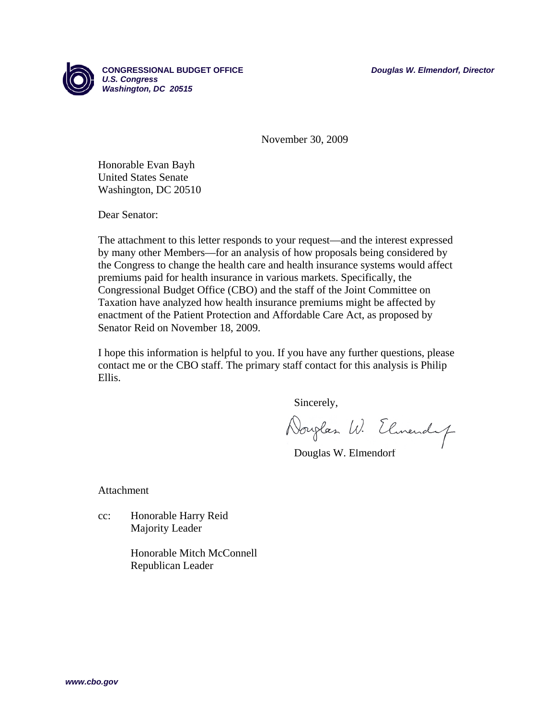

**CONGRESSIONAL BUDGET OFFICE** *Douglas W. Elmendorf, Director U.S. Congress Washington, DC 20515*

November 30, 2009

Honorable Evan Bayh United States Senate Washington, DC 20510

Dear Senator:

The attachment to this letter responds to your request—and the interest expressed by many other Members—for an analysis of how proposals being considered by the Congress to change the health care and health insurance systems would affect premiums paid for health insurance in various markets. Specifically, the Congressional Budget Office (CBO) and the staff of the Joint Committee on Taxation have analyzed how health insurance premiums might be affected by enactment of the Patient Protection and Affordable Care Act, as proposed by Senator Reid on November 18, 2009.

I hope this information is helpful to you. If you have any further questions, please contact me or the CBO staff. The primary staff contact for this analysis is Philip Ellis.

Sincerely,

Douglas W. Elmendy

Douglas W. Elmendorf

Attachment

cc: Honorable Harry Reid Majority Leader

> Honorable Mitch McConnell Republican Leader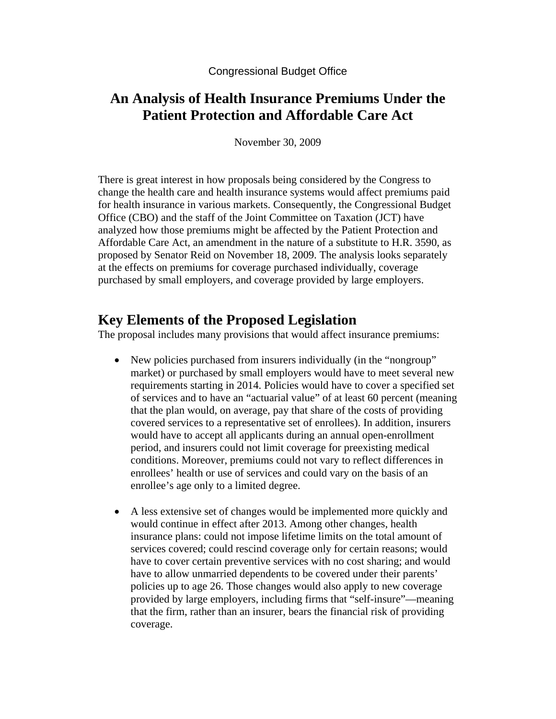Congressional Budget Office

# **An Analysis of Health Insurance Premiums Under the Patient Protection and Affordable Care Act**

November 30, 2009

There is great interest in how proposals being considered by the Congress to change the health care and health insurance systems would affect premiums paid for health insurance in various markets. Consequently, the Congressional Budget Office (CBO) and the staff of the Joint Committee on Taxation (JCT) have analyzed how those premiums might be affected by the Patient Protection and Affordable Care Act, an amendment in the nature of a substitute to H.R. 3590, as proposed by Senator Reid on November 18, 2009. The analysis looks separately at the effects on premiums for coverage purchased individually, coverage purchased by small employers, and coverage provided by large employers.

# **Key Elements of the Proposed Legislation**

The proposal includes many provisions that would affect insurance premiums:

- New policies purchased from insurers individually (in the "nongroup" market) or purchased by small employers would have to meet several new requirements starting in 2014. Policies would have to cover a specified set of services and to have an "actuarial value" of at least 60 percent (meaning that the plan would, on average, pay that share of the costs of providing covered services to a representative set of enrollees). In addition, insurers would have to accept all applicants during an annual open-enrollment period, and insurers could not limit coverage for preexisting medical conditions. Moreover, premiums could not vary to reflect differences in enrollees' health or use of services and could vary on the basis of an enrollee's age only to a limited degree.
- A less extensive set of changes would be implemented more quickly and would continue in effect after 2013. Among other changes, health insurance plans: could not impose lifetime limits on the total amount of services covered; could rescind coverage only for certain reasons; would have to cover certain preventive services with no cost sharing; and would have to allow unmarried dependents to be covered under their parents' policies up to age 26. Those changes would also apply to new coverage provided by large employers, including firms that "self-insure"—meaning that the firm, rather than an insurer, bears the financial risk of providing coverage.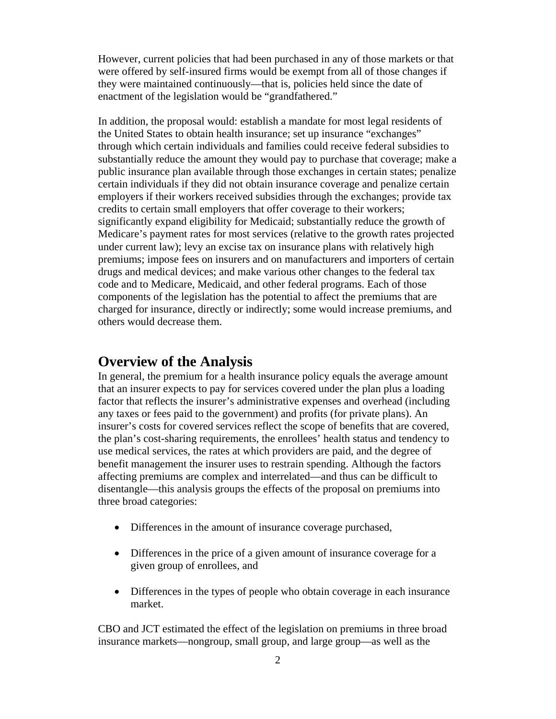However, current policies that had been purchased in any of those markets or that were offered by self-insured firms would be exempt from all of those changes if they were maintained continuously—that is, policies held since the date of enactment of the legislation would be "grandfathered."

In addition, the proposal would: establish a mandate for most legal residents of the United States to obtain health insurance; set up insurance "exchanges" through which certain individuals and families could receive federal subsidies to substantially reduce the amount they would pay to purchase that coverage; make a public insurance plan available through those exchanges in certain states; penalize certain individuals if they did not obtain insurance coverage and penalize certain employers if their workers received subsidies through the exchanges; provide tax credits to certain small employers that offer coverage to their workers; significantly expand eligibility for Medicaid; substantially reduce the growth of Medicare's payment rates for most services (relative to the growth rates projected under current law); levy an excise tax on insurance plans with relatively high premiums; impose fees on insurers and on manufacturers and importers of certain drugs and medical devices; and make various other changes to the federal tax code and to Medicare, Medicaid, and other federal programs. Each of those components of the legislation has the potential to affect the premiums that are charged for insurance, directly or indirectly; some would increase premiums, and others would decrease them.

## **Overview of the Analysis**

In general, the premium for a health insurance policy equals the average amount that an insurer expects to pay for services covered under the plan plus a loading factor that reflects the insurer's administrative expenses and overhead (including any taxes or fees paid to the government) and profits (for private plans). An insurer's costs for covered services reflect the scope of benefits that are covered, the plan's cost-sharing requirements, the enrollees' health status and tendency to use medical services, the rates at which providers are paid, and the degree of benefit management the insurer uses to restrain spending. Although the factors affecting premiums are complex and interrelated—and thus can be difficult to disentangle—this analysis groups the effects of the proposal on premiums into three broad categories:

- Differences in the amount of insurance coverage purchased,
- Differences in the price of a given amount of insurance coverage for a given group of enrollees, and
- Differences in the types of people who obtain coverage in each insurance market.

CBO and JCT estimated the effect of the legislation on premiums in three broad insurance markets—nongroup, small group, and large group—as well as the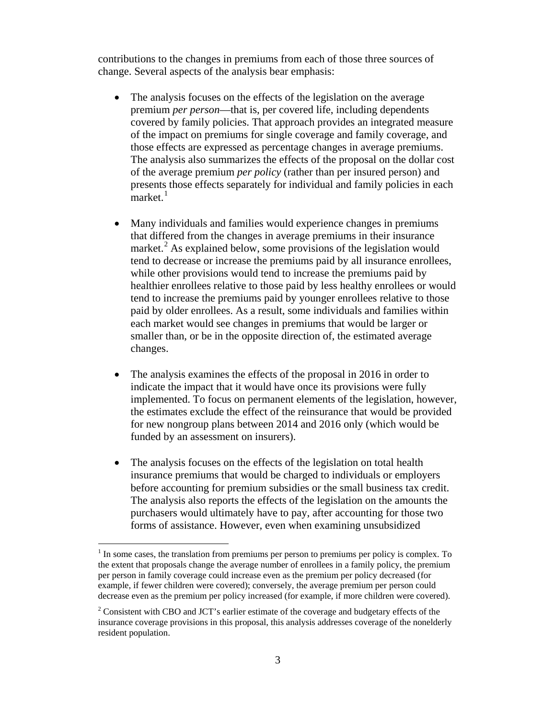contributions to the changes in premiums from each of those three sources of change. Several aspects of the analysis bear emphasis:

- The analysis focuses on the effects of the legislation on the average premium *per person*—that is, per covered life, including dependents covered by family policies. That approach provides an integrated measure of the impact on premiums for single coverage and family coverage, and those effects are expressed as percentage changes in average premiums. The analysis also summarizes the effects of the proposal on the dollar cost of the average premium *per policy* (rather than per insured person) and presents those effects separately for individual and family policies in each market. $1$
- Many individuals and families would experience changes in premiums that differed from the changes in average premiums in their insurance market.<sup>[2](#page-3-1)</sup> As explained below, some provisions of the legislation would tend to decrease or increase the premiums paid by all insurance enrollees, while other provisions would tend to increase the premiums paid by healthier enrollees relative to those paid by less healthy enrollees or would tend to increase the premiums paid by younger enrollees relative to those paid by older enrollees. As a result, some individuals and families within each market would see changes in premiums that would be larger or smaller than, or be in the opposite direction of, the estimated average changes.
- The analysis examines the effects of the proposal in 2016 in order to indicate the impact that it would have once its provisions were fully implemented. To focus on permanent elements of the legislation, however, the estimates exclude the effect of the reinsurance that would be provided for new nongroup plans between 2014 and 2016 only (which would be funded by an assessment on insurers).
- The analysis focuses on the effects of the legislation on total health insurance premiums that would be charged to individuals or employers before accounting for premium subsidies or the small business tax credit. The analysis also reports the effects of the legislation on the amounts the purchasers would ultimately have to pay, after accounting for those two forms of assistance. However, even when examining unsubsidized

<span id="page-3-0"></span> $<sup>1</sup>$  In some cases, the translation from premiums per person to premiums per policy is complex. To</sup> the extent that proposals change the average number of enrollees in a family policy, the premium per person in family coverage could increase even as the premium per policy decreased (for example, if fewer children were covered); conversely, the average premium per person could decrease even as the premium per policy increased (for example, if more children were covered).

<span id="page-3-1"></span> $2^2$  Consistent with CBO and JCT's earlier estimate of the coverage and budgetary effects of the insurance coverage provisions in this proposal, this analysis addresses coverage of the nonelderly resident population.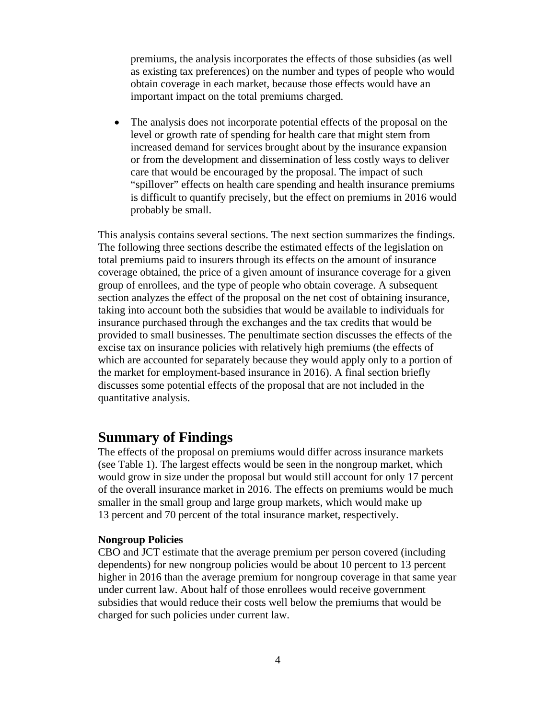premiums, the analysis incorporates the effects of those subsidies (as well as existing tax preferences) on the number and types of people who would obtain coverage in each market, because those effects would have an important impact on the total premiums charged.

• The analysis does not incorporate potential effects of the proposal on the level or growth rate of spending for health care that might stem from increased demand for services brought about by the insurance expansion or from the development and dissemination of less costly ways to deliver care that would be encouraged by the proposal. The impact of such "spillover" effects on health care spending and health insurance premiums is difficult to quantify precisely, but the effect on premiums in 2016 would probably be small.

This analysis contains several sections. The next section summarizes the findings. The following three sections describe the estimated effects of the legislation on total premiums paid to insurers through its effects on the amount of insurance coverage obtained, the price of a given amount of insurance coverage for a given group of enrollees, and the type of people who obtain coverage. A subsequent section analyzes the effect of the proposal on the net cost of obtaining insurance, taking into account both the subsidies that would be available to individuals for insurance purchased through the exchanges and the tax credits that would be provided to small businesses. The penultimate section discusses the effects of the excise tax on insurance policies with relatively high premiums (the effects of which are accounted for separately because they would apply only to a portion of the market for employment-based insurance in 2016). A final section briefly discusses some potential effects of the proposal that are not included in the quantitative analysis.

## **Summary of Findings**

The effects of the proposal on premiums would differ across insurance markets (see Table 1). The largest effects would be seen in the nongroup market, which would grow in size under the proposal but would still account for only 17 percent of the overall insurance market in 2016. The effects on premiums would be much smaller in the small group and large group markets, which would make up 13 percent and 70 percent of the total insurance market, respectively.

#### **Nongroup Policies**

CBO and JCT estimate that the average premium per person covered (including dependents) for new nongroup policies would be about 10 percent to 13 percent higher in 2016 than the average premium for nongroup coverage in that same year under current law. About half of those enrollees would receive government subsidies that would reduce their costs well below the premiums that would be charged for such policies under current law.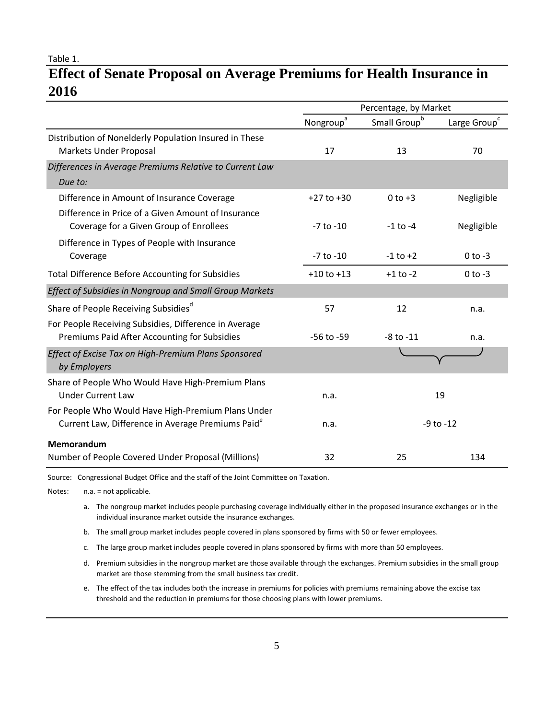Table 1.

# **Effect of Senate Proposal on Average Premiums for Health Insurance in 2016**

|                                                                                                                     | Percentage, by Market |                          |                          |  |  |  |  |
|---------------------------------------------------------------------------------------------------------------------|-----------------------|--------------------------|--------------------------|--|--|--|--|
|                                                                                                                     | Nongroup <sup>a</sup> | Small Group <sup>b</sup> | Large Group <sup>c</sup> |  |  |  |  |
| Distribution of Nonelderly Population Insured in These<br><b>Markets Under Proposal</b>                             | 17                    | 13                       | 70                       |  |  |  |  |
| Differences in Average Premiums Relative to Current Law<br>Due to:                                                  |                       |                          |                          |  |  |  |  |
| Difference in Amount of Insurance Coverage                                                                          | $+27$ to $+30$        | $0$ to $+3$              | Negligible               |  |  |  |  |
| Difference in Price of a Given Amount of Insurance<br>Coverage for a Given Group of Enrollees                       | $-7$ to $-10$         | $-1$ to $-4$             | Negligible               |  |  |  |  |
| Difference in Types of People with Insurance<br>Coverage                                                            | $-7$ to $-10$         | $-1$ to $+2$             | $0$ to $-3$              |  |  |  |  |
| <b>Total Difference Before Accounting for Subsidies</b>                                                             | $+10$ to $+13$        | $+1$ to $-2$             | $0$ to $-3$              |  |  |  |  |
| Effect of Subsidies in Nongroup and Small Group Markets                                                             |                       |                          |                          |  |  |  |  |
| Share of People Receiving Subsidies <sup>d</sup>                                                                    | 57                    | 12                       | n.a.                     |  |  |  |  |
| For People Receiving Subsidies, Difference in Average<br>Premiums Paid After Accounting for Subsidies               | $-56$ to $-59$        | $-8$ to $-11$            | n.a.                     |  |  |  |  |
| Effect of Excise Tax on High-Premium Plans Sponsored<br>by Employers                                                |                       |                          |                          |  |  |  |  |
| Share of People Who Would Have High-Premium Plans<br><b>Under Current Law</b>                                       | n.a.                  |                          | 19                       |  |  |  |  |
| For People Who Would Have High-Premium Plans Under<br>Current Law, Difference in Average Premiums Paid <sup>e</sup> | n.a.                  | $-9$ to $-12$            |                          |  |  |  |  |
| <b>Memorandum</b><br>Number of People Covered Under Proposal (Millions)                                             | 32                    | 25                       | 134                      |  |  |  |  |
|                                                                                                                     |                       |                          |                          |  |  |  |  |

Source: Congressional Budget Office and the staff of the Joint Committee on Taxation.

Notes: n.a. = not applicable.

l

a. The nongroup market includes people purchasing coverage individually either in the proposed insurance exchanges or in the individual insurance market outside the insurance exchanges.

- b. The small group market includes people covered in plans sponsored by firms with 50 or fewer employees.
	- c. The large group market includes people covered in plans sponsored by firms with more than 50 employees.
	- d. Premium subsidies in the nongroup market are those available through the exchanges. Premium subsidies in the small group market are those stemming from the small business tax credit.
	- e. The effect of the tax includes both the increase in premiums for policies with premiums remaining above the excise tax threshold and the reduction in premiums for those choosing plans with lower premiums.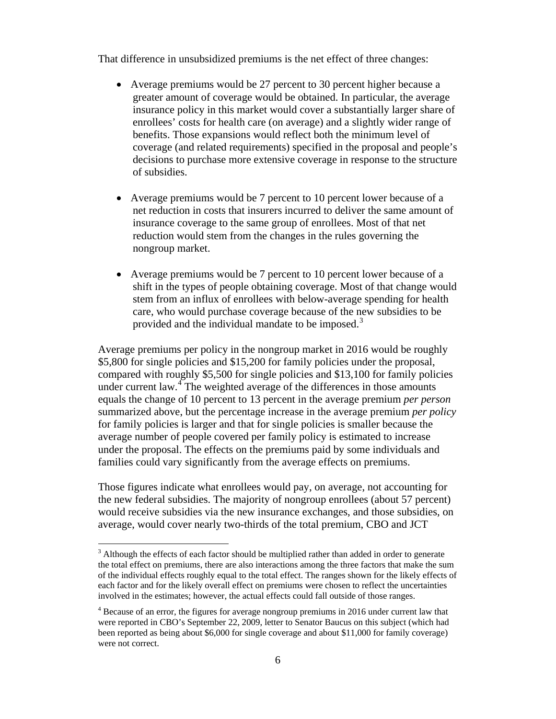That difference in unsubsidized premiums is the net effect of three changes:

- Average premiums would be 27 percent to 30 percent higher because a greater amount of coverage would be obtained. In particular, the average insurance policy in this market would cover a substantially larger share of enrollees' costs for health care (on average) and a slightly wider range of benefits. Those expansions would reflect both the minimum level of coverage (and related requirements) specified in the proposal and people's decisions to purchase more extensive coverage in response to the structure of subsidies.
- Average premiums would be 7 percent to 10 percent lower because of a net reduction in costs that insurers incurred to deliver the same amount of insurance coverage to the same group of enrollees. Most of that net reduction would stem from the changes in the rules governing the nongroup market.
- Average premiums would be 7 percent to 10 percent lower because of a shift in the types of people obtaining coverage. Most of that change would stem from an influx of enrollees with below-average spending for health care, who would purchase coverage because of the new subsidies to be provided and the individual mandate to be imposed.<sup>[3](#page-6-0)</sup>

Average premiums per policy in the nongroup market in 2016 would be roughly \$5,800 for single policies and \$15,200 for family policies under the proposal, compared with roughly \$5,500 for single policies and \$13,100 for family policies under current law. $4$  The weighted average of the differences in those amounts equals the change of 10 percent to 13 percent in the average premium *per person* summarized above, but the percentage increase in the average premium *per policy* for family policies is larger and that for single policies is smaller because the average number of people covered per family policy is estimated to increase under the proposal. The effects on the premiums paid by some individuals and families could vary significantly from the average effects on premiums.

Those figures indicate what enrollees would pay, on average, not accounting for the new federal subsidies. The majority of nongroup enrollees (about 57 percent) would receive subsidies via the new insurance exchanges, and those subsidies, on average, would cover nearly two-thirds of the total premium, CBO and JCT

<span id="page-6-0"></span> $3$  Although the effects of each factor should be multiplied rather than added in order to generate the total effect on premiums, there are also interactions among the three factors that make the sum of the individual effects roughly equal to the total effect. The ranges shown for the likely effects of each factor and for the likely overall effect on premiums were chosen to reflect the uncertainties involved in the estimates; however, the actual effects could fall outside of those ranges.

<span id="page-6-1"></span><sup>4</sup> Because of an error, the figures for average nongroup premiums in 2016 under current law that were reported in CBO's September 22, 2009, letter to Senator Baucus on this subject (which had been reported as being about \$6,000 for single coverage and about \$11,000 for family coverage) were not correct.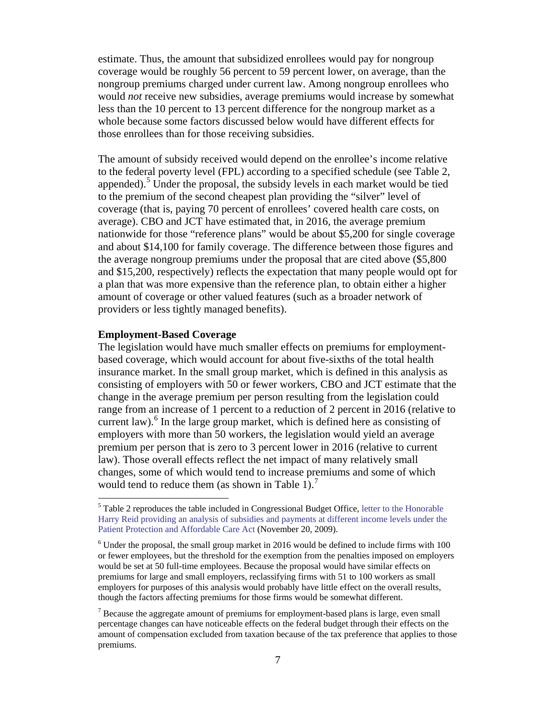estimate. Thus, the amount that subsidized enrollees would pay for nongroup coverage would be roughly 56 percent to 59 percent lower, on average, than the nongroup premiums charged under current law. Among nongroup enrollees who would *not* receive new subsidies, average premiums would increase by somewhat less than the 10 percent to 13 percent difference for the nongroup market as a whole because some factors discussed below would have different effects for those enrollees than for those receiving subsidies.

The amount of subsidy received would depend on the enrollee's income relative to the federal poverty level (FPL) according to a specified schedule (see Table 2, appended).<sup>[5](#page-7-0)</sup> Under the proposal, the subsidy levels in each market would be tied to the premium of the second cheapest plan providing the "silver" level of coverage (that is, paying 70 percent of enrollees' covered health care costs, on average). CBO and JCT have estimated that, in 2016, the average premium nationwide for those "reference plans" would be about \$5,200 for single coverage and about \$14,100 for family coverage. The difference between those figures and the average nongroup premiums under the proposal that are cited above (\$5,800 and \$15,200, respectively) reflects the expectation that many people would opt for a plan that was more expensive than the reference plan, to obtain either a higher amount of coverage or other valued features (such as a broader network of providers or less tightly managed benefits).

### **Employment-Based Coverage**

The legislation would have much smaller effects on premiums for employmentbased coverage, which would account for about five-sixths of the total health insurance market. In the small group market, which is defined in this analysis as consisting of employers with 50 or fewer workers, CBO and JCT estimate that the change in the average premium per person resulting from the legislation could range from an increase of 1 percent to a reduction of 2 percent in 2016 (relative to current law).<sup>[6](#page-7-1)</sup> In the large group market, which is defined here as consisting of employers with more than 50 workers, the legislation would yield an average premium per person that is zero to 3 percent lower in 2016 (relative to current law). Those overall effects reflect the net impact of many relatively small changes, some of which would tend to increase premiums and some of which would tend to reduce them (as shown in Table 1).<sup>[7](#page-7-2)</sup>

<span id="page-7-0"></span><sup>&</sup>lt;sup>5</sup> Table 2 reproduces the table included in Congressional Budget Office, letter to the Honorable [Harry Reid providing an analysis of subsidies and payments at different income levels under the](http://www.cbo.gov/ftpdocs/107xx/doc10731/Reid_Subsidy_Examples_11-20.pdf)  [Patient Protection and Affordable Care Act](http://www.cbo.gov/ftpdocs/107xx/doc10731/Reid_Subsidy_Examples_11-20.pdf) (November 20, 2009).

<span id="page-7-1"></span> $6$  Under the proposal, the small group market in 2016 would be defined to include firms with 100 or fewer employees, but the threshold for the exemption from the penalties imposed on employers would be set at 50 full-time employees. Because the proposal would have similar effects on premiums for large and small employers, reclassifying firms with 51 to 100 workers as small employers for purposes of this analysis would probably have little effect on the overall results, though the factors affecting premiums for those firms would be somewhat different.

<span id="page-7-2"></span> $<sup>7</sup>$  Because the aggregate amount of premiums for employment-based plans is large, even small</sup> percentage changes can have noticeable effects on the federal budget through their effects on the amount of compensation excluded from taxation because of the tax preference that applies to those premiums.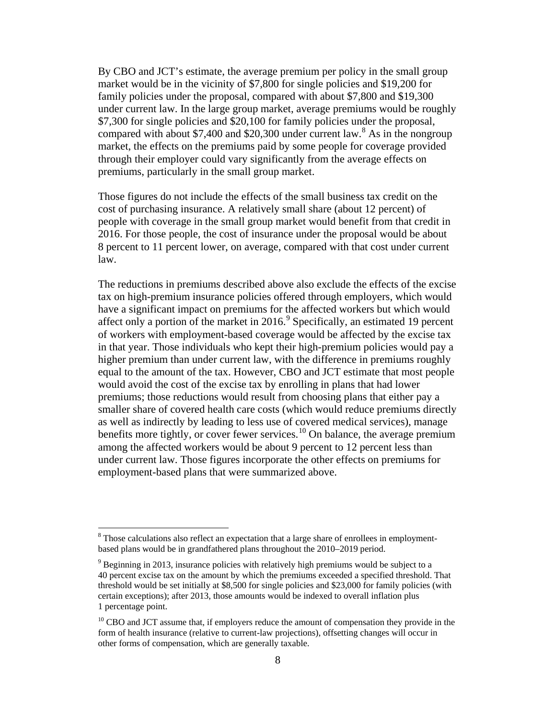By CBO and JCT's estimate, the average premium per policy in the small group market would be in the vicinity of \$7,800 for single policies and \$19,200 for family policies under the proposal, compared with about \$7,800 and \$19,300 under current law. In the large group market, average premiums would be roughly \$7,300 for single policies and \$20,100 for family policies under the proposal, compared with about \$7,400 and \$20,300 under current law.<sup>[8](#page-8-0)</sup> As in the nongroup market, the effects on the premiums paid by some people for coverage provided through their employer could vary significantly from the average effects on premiums, particularly in the small group market.

Those figures do not include the effects of the small business tax credit on the cost of purchasing insurance. A relatively small share (about 12 percent) of people with coverage in the small group market would benefit from that credit in 2016. For those people, the cost of insurance under the proposal would be about 8 percent to 11 percent lower, on average, compared with that cost under current law.

The reductions in premiums described above also exclude the effects of the excise tax on high-premium insurance policies offered through employers, which would have a significant impact on premiums for the affected workers but which would affect only a portion of the market in 2016. [9](#page-8-1) Specifically, an estimated 19 percent of workers with employment-based coverage would be affected by the excise tax in that year. Those individuals who kept their high-premium policies would pay a higher premium than under current law, with the difference in premiums roughly equal to the amount of the tax. However, CBO and JCT estimate that most people would avoid the cost of the excise tax by enrolling in plans that had lower premiums; those reductions would result from choosing plans that either pay a smaller share of covered health care costs (which would reduce premiums directly as well as indirectly by leading to less use of covered medical services), manage benefits more tightly, or cover fewer services.<sup>[10](#page-8-2)</sup> On balance, the average premium among the affected workers would be about 9 percent to 12 percent less than under current law. Those figures incorporate the other effects on premiums for employment-based plans that were summarized above.

<span id="page-8-0"></span><sup>&</sup>lt;sup>8</sup> Those calculations also reflect an expectation that a large share of enrollees in employmentbased plans would be in grandfathered plans throughout the 2010–2019 period.

<span id="page-8-1"></span> $9$  Beginning in 2013, insurance policies with relatively high premiums would be subject to a 40 percent excise tax on the amount by which the premiums exceeded a specified threshold. That threshold would be set initially at \$8,500 for single policies and \$23,000 for family policies (with certain exceptions); after 2013, those amounts would be indexed to overall inflation plus 1 percentage point.

<span id="page-8-2"></span><sup>&</sup>lt;sup>10</sup> CBO and JCT assume that, if employers reduce the amount of compensation they provide in the form of health insurance (relative to current-law projections), offsetting changes will occur in other forms of compensation, which are generally taxable.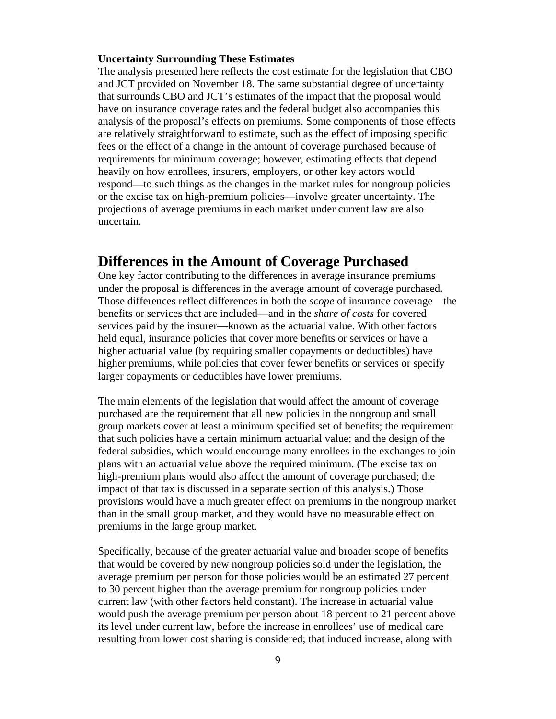#### **Uncertainty Surrounding These Estimates**

The analysis presented here reflects the cost estimate for the legislation that CBO and JCT provided on November 18. The same substantial degree of uncertainty that surrounds CBO and JCT's estimates of the impact that the proposal would have on insurance coverage rates and the federal budget also accompanies this analysis of the proposal's effects on premiums. Some components of those effects are relatively straightforward to estimate, such as the effect of imposing specific fees or the effect of a change in the amount of coverage purchased because of requirements for minimum coverage; however, estimating effects that depend heavily on how enrollees, insurers, employers, or other key actors would respond—to such things as the changes in the market rules for nongroup policies or the excise tax on high-premium policies—involve greater uncertainty. The projections of average premiums in each market under current law are also uncertain.

## **Differences in the Amount of Coverage Purchased**

One key factor contributing to the differences in average insurance premiums under the proposal is differences in the average amount of coverage purchased. Those differences reflect differences in both the *scope* of insurance coverage—the benefits or services that are included—and in the *share of costs* for covered services paid by the insurer—known as the actuarial value. With other factors held equal, insurance policies that cover more benefits or services or have a higher actuarial value (by requiring smaller copayments or deductibles) have higher premiums, while policies that cover fewer benefits or services or specify larger copayments or deductibles have lower premiums.

The main elements of the legislation that would affect the amount of coverage purchased are the requirement that all new policies in the nongroup and small group markets cover at least a minimum specified set of benefits; the requirement that such policies have a certain minimum actuarial value; and the design of the federal subsidies, which would encourage many enrollees in the exchanges to join plans with an actuarial value above the required minimum. (The excise tax on high-premium plans would also affect the amount of coverage purchased; the impact of that tax is discussed in a separate section of this analysis.) Those provisions would have a much greater effect on premiums in the nongroup market than in the small group market, and they would have no measurable effect on premiums in the large group market.

Specifically, because of the greater actuarial value and broader scope of benefits that would be covered by new nongroup policies sold under the legislation, the average premium per person for those policies would be an estimated 27 percent to 30 percent higher than the average premium for nongroup policies under current law (with other factors held constant). The increase in actuarial value would push the average premium per person about 18 percent to 21 percent above its level under current law, before the increase in enrollees' use of medical care resulting from lower cost sharing is considered; that induced increase, along with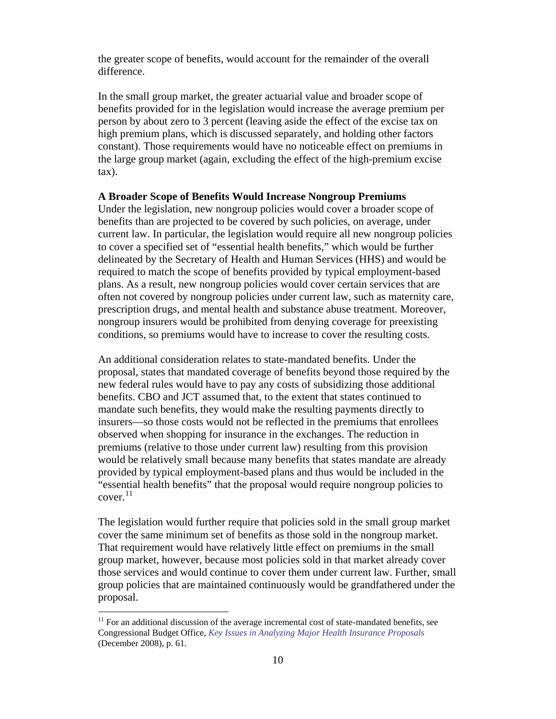the greater scope of benefits, would account for the remainder of the overall difference.

In the small group market, the greater actuarial value and broader scope of benefits provided for in the legislation would increase the average premium per person by about zero to 3 percent (leaving aside the effect of the excise tax on high premium plans, which is discussed separately, and holding other factors constant). Those requirements would have no noticeable effect on premiums in the large group market (again, excluding the effect of the high-premium excise tax).

#### **A Broader Scope of Benefits Would Increase Nongroup Premiums**

Under the legislation, new nongroup policies would cover a broader scope of benefits than are projected to be covered by such policies, on average, under current law. In particular, the legislation would require all new nongroup policies to cover a specified set of "essential health benefits," which would be further delineated by the Secretary of Health and Human Services (HHS) and would be required to match the scope of benefits provided by typical employment-based plans. As a result, new nongroup policies would cover certain services that are often not covered by nongroup policies under current law, such as maternity care, prescription drugs, and mental health and substance abuse treatment. Moreover, nongroup insurers would be prohibited from denying coverage for preexisting conditions, so premiums would have to increase to cover the resulting costs.

An additional consideration relates to state-mandated benefits. Under the proposal, states that mandated coverage of benefits beyond those required by the new federal rules would have to pay any costs of subsidizing those additional benefits. CBO and JCT assumed that, to the extent that states continued to mandate such benefits, they would make the resulting payments directly to insurers—so those costs would not be reflected in the premiums that enrollees observed when shopping for insurance in the exchanges. The reduction in premiums (relative to those under current law) resulting from this provision would be relatively small because many benefits that states mandate are already provided by typical employment-based plans and thus would be included in the "essential health benefits" that the proposal would require nongroup policies to cover. [11](#page-10-0)

The legislation would further require that policies sold in the small group market cover the same minimum set of benefits as those sold in the nongroup market. That requirement would have relatively little effect on premiums in the small group market, however, because most policies sold in that market already cover those services and would continue to cover them under current law. Further, small group policies that are maintained continuously would be grandfathered under the proposal.

<span id="page-10-0"></span> $11$  For an additional discussion of the average incremental cost of state-mandated benefits, see Congressional Budget Office, *[Key Issues in Analyzing Major Health Insurance Proposals](http://www.cbo.gov/doc.cfm?index=9924)* (December 2008), p. 61.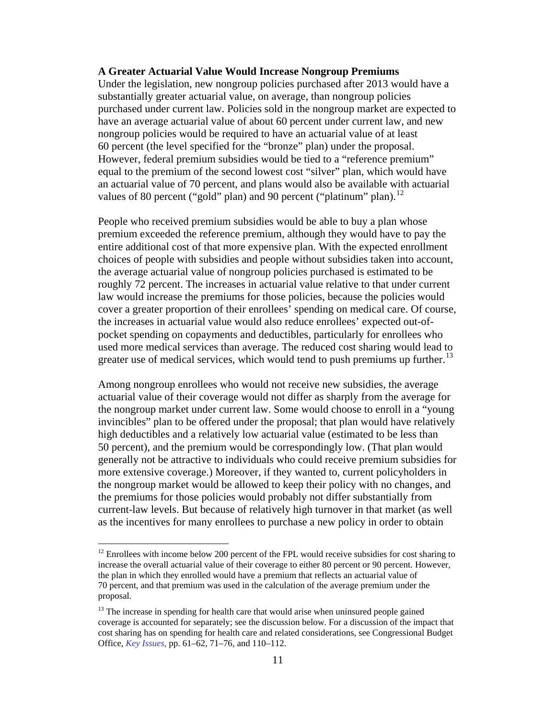#### **A Greater Actuarial Value Would Increase Nongroup Premiums**

Under the legislation, new nongroup policies purchased after 2013 would have a substantially greater actuarial value, on average, than nongroup policies purchased under current law. Policies sold in the nongroup market are expected to have an average actuarial value of about 60 percent under current law, and new nongroup policies would be required to have an actuarial value of at least 60 percent (the level specified for the "bronze" plan) under the proposal. However, federal premium subsidies would be tied to a "reference premium" equal to the premium of the second lowest cost "silver" plan, which would have an actuarial value of 70 percent, and plans would also be available with actuarial values of 80 percent ("gold" plan) and 90 percent ("platinum" plan).<sup>[12](#page-11-0)</sup>

People who received premium subsidies would be able to buy a plan whose premium exceeded the reference premium, although they would have to pay the entire additional cost of that more expensive plan. With the expected enrollment choices of people with subsidies and people without subsidies taken into account, the average actuarial value of nongroup policies purchased is estimated to be roughly 72 percent. The increases in actuarial value relative to that under current law would increase the premiums for those policies, because the policies would cover a greater proportion of their enrollees' spending on medical care. Of course, the increases in actuarial value would also reduce enrollees' expected out-ofpocket spending on copayments and deductibles, particularly for enrollees who used more medical services than average. The reduced cost sharing would lead to greater use of medical services, which would tend to push premiums up further.<sup>[13](#page-11-1)</sup>

Among nongroup enrollees who would not receive new subsidies, the average actuarial value of their coverage would not differ as sharply from the average for the nongroup market under current law. Some would choose to enroll in a "young invincibles" plan to be offered under the proposal; that plan would have relatively high deductibles and a relatively low actuarial value (estimated to be less than 50 percent), and the premium would be correspondingly low. (That plan would generally not be attractive to individuals who could receive premium subsidies for more extensive coverage.) Moreover, if they wanted to, current policyholders in the nongroup market would be allowed to keep their policy with no changes, and the premiums for those policies would probably not differ substantially from current-law levels. But because of relatively high turnover in that market (as well as the incentives for many enrollees to purchase a new policy in order to obtain

<span id="page-11-0"></span> $12$  Enrollees with income below 200 percent of the FPL would receive subsidies for cost sharing to increase the overall actuarial value of their coverage to either 80 percent or 90 percent. However, the plan in which they enrolled would have a premium that reflects an actuarial value of 70 percent, and that premium was used in the calculation of the average premium under the proposal.

<span id="page-11-1"></span> $13$  The increase in spending for health care that would arise when uninsured people gained coverage is accounted for separately; see the discussion below. For a discussion of the impact that cost sharing has on spending for health care and related considerations, see Congressional Budget Office, *[Key Issues](http://www.cbo.gov/doc.cfm?index=9924)*, pp. 61–62, 71–76, and 110–112.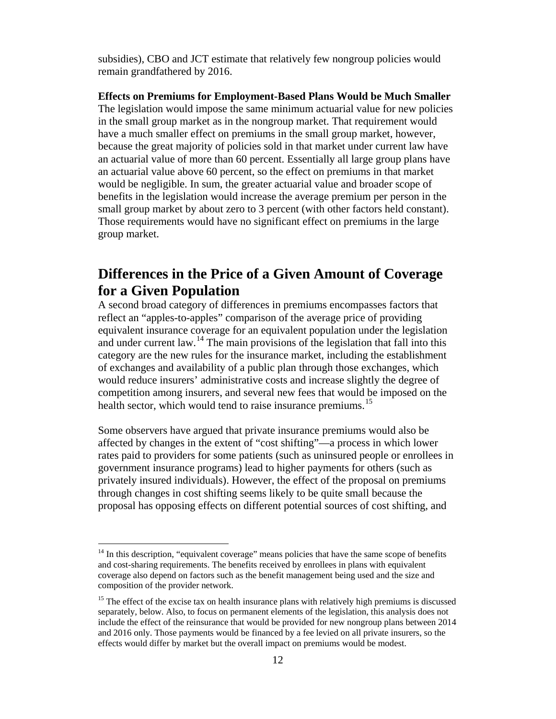subsidies), CBO and JCT estimate that relatively few nongroup policies would remain grandfathered by 2016.

**Effects on Premiums for Employment-Based Plans Would be Much Smaller** The legislation would impose the same minimum actuarial value for new policies in the small group market as in the nongroup market. That requirement would have a much smaller effect on premiums in the small group market, however, because the great majority of policies sold in that market under current law have an actuarial value of more than 60 percent. Essentially all large group plans have an actuarial value above 60 percent, so the effect on premiums in that market would be negligible. In sum, the greater actuarial value and broader scope of benefits in the legislation would increase the average premium per person in the small group market by about zero to 3 percent (with other factors held constant). Those requirements would have no significant effect on premiums in the large group market.

# **Differences in the Price of a Given Amount of Coverage for a Given Population**

A second broad category of differences in premiums encompasses factors that reflect an "apples-to-apples" comparison of the average price of providing equivalent insurance coverage for an equivalent population under the legislation and under current law.<sup>[14](#page-12-0)</sup> The main provisions of the legislation that fall into this category are the new rules for the insurance market, including the establishment of exchanges and availability of a public plan through those exchanges, which would reduce insurers' administrative costs and increase slightly the degree of competition among insurers, and several new fees that would be imposed on the health sector, which would tend to raise insurance premiums.<sup>[15](#page-12-1)</sup>

Some observers have argued that private insurance premiums would also be affected by changes in the extent of "cost shifting"—a process in which lower rates paid to providers for some patients (such as uninsured people or enrollees in government insurance programs) lead to higher payments for others (such as privately insured individuals). However, the effect of the proposal on premiums through changes in cost shifting seems likely to be quite small because the proposal has opposing effects on different potential sources of cost shifting, and

<span id="page-12-0"></span> $14$  In this description, "equivalent coverage" means policies that have the same scope of benefits and cost-sharing requirements. The benefits received by enrollees in plans with equivalent coverage also depend on factors such as the benefit management being used and the size and composition of the provider network.

<span id="page-12-1"></span> $15$  The effect of the excise tax on health insurance plans with relatively high premiums is discussed separately, below. Also, to focus on permanent elements of the legislation, this analysis does not include the effect of the reinsurance that would be provided for new nongroup plans between 2014 and 2016 only. Those payments would be financed by a fee levied on all private insurers, so the effects would differ by market but the overall impact on premiums would be modest.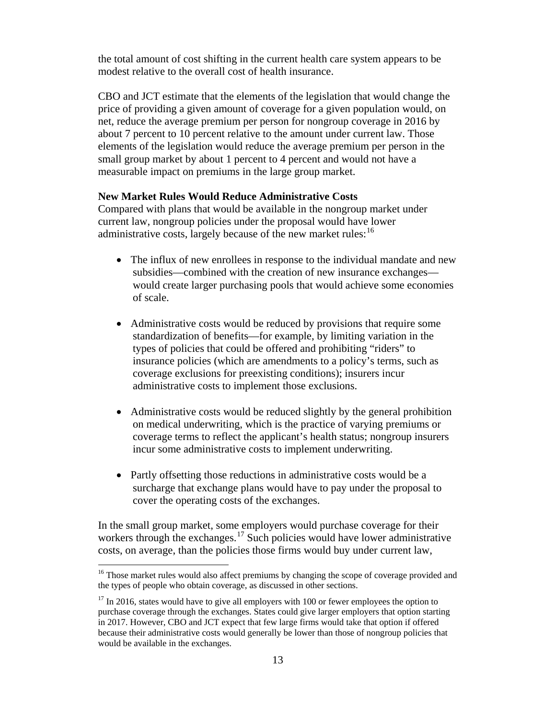the total amount of cost shifting in the current health care system appears to be modest relative to the overall cost of health insurance.

CBO and JCT estimate that the elements of the legislation that would change the price of providing a given amount of coverage for a given population would, on net, reduce the average premium per person for nongroup coverage in 2016 by about 7 percent to 10 percent relative to the amount under current law. Those elements of the legislation would reduce the average premium per person in the small group market by about 1 percent to 4 percent and would not have a measurable impact on premiums in the large group market.

### **New Market Rules Would Reduce Administrative Costs**

Compared with plans that would be available in the nongroup market under current law, nongroup policies under the proposal would have lower administrative costs, largely because of the new market rules:<sup>[16](#page-13-0)</sup>

- The influx of new enrollees in response to the individual mandate and new subsidies—combined with the creation of new insurance exchanges would create larger purchasing pools that would achieve some economies of scale.
- Administrative costs would be reduced by provisions that require some standardization of benefits—for example, by limiting variation in the types of policies that could be offered and prohibiting "riders" to insurance policies (which are amendments to a policy's terms, such as coverage exclusions for preexisting conditions); insurers incur administrative costs to implement those exclusions.
- Administrative costs would be reduced slightly by the general prohibition on medical underwriting, which is the practice of varying premiums or coverage terms to reflect the applicant's health status; nongroup insurers incur some administrative costs to implement underwriting.
- Partly offsetting those reductions in administrative costs would be a surcharge that exchange plans would have to pay under the proposal to cover the operating costs of the exchanges.

In the small group market, some employers would purchase coverage for their workers through the exchanges.<sup>[17](#page-13-1)</sup> Such policies would have lower administrative costs, on average, than the policies those firms would buy under current law,

<span id="page-13-0"></span><sup>&</sup>lt;sup>16</sup> Those market rules would also affect premiums by changing the scope of coverage provided and the types of people who obtain coverage, as discussed in other sections.

<span id="page-13-1"></span> $17$  In 2016, states would have to give all employers with 100 or fewer employees the option to purchase coverage through the exchanges. States could give larger employers that option starting in 2017. However, CBO and JCT expect that few large firms would take that option if offered because their administrative costs would generally be lower than those of nongroup policies that would be available in the exchanges.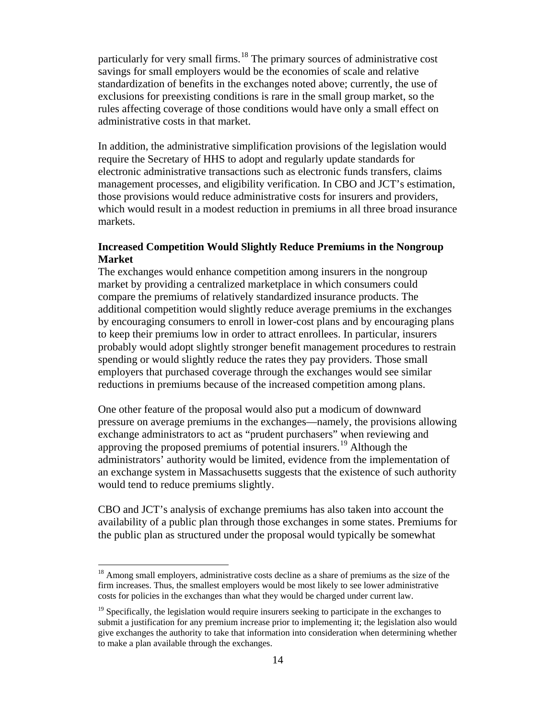particularly for very small firms.<sup>[18](#page-14-0)</sup> The primary sources of administrative cost savings for small employers would be the economies of scale and relative standardization of benefits in the exchanges noted above; currently, the use of exclusions for preexisting conditions is rare in the small group market, so the rules affecting coverage of those conditions would have only a small effect on administrative costs in that market.

In addition, the administrative simplification provisions of the legislation would require the Secretary of HHS to adopt and regularly update standards for electronic administrative transactions such as electronic funds transfers, claims management processes, and eligibility verification. In CBO and JCT's estimation, those provisions would reduce administrative costs for insurers and providers, which would result in a modest reduction in premiums in all three broad insurance markets.

### **Increased Competition Would Slightly Reduce Premiums in the Nongroup Market**

The exchanges would enhance competition among insurers in the nongroup market by providing a centralized marketplace in which consumers could compare the premiums of relatively standardized insurance products. The additional competition would slightly reduce average premiums in the exchanges by encouraging consumers to enroll in lower-cost plans and by encouraging plans to keep their premiums low in order to attract enrollees. In particular, insurers probably would adopt slightly stronger benefit management procedures to restrain spending or would slightly reduce the rates they pay providers. Those small employers that purchased coverage through the exchanges would see similar reductions in premiums because of the increased competition among plans.

One other feature of the proposal would also put a modicum of downward pressure on average premiums in the exchanges—namely, the provisions allowing exchange administrators to act as "prudent purchasers" when reviewing and approving the proposed premiums of potential insurers. [19](#page-14-1) Although the administrators' authority would be limited, evidence from the implementation of an exchange system in Massachusetts suggests that the existence of such authority would tend to reduce premiums slightly.

CBO and JCT's analysis of exchange premiums has also taken into account the availability of a public plan through those exchanges in some states. Premiums for the public plan as structured under the proposal would typically be somewhat

<span id="page-14-0"></span><sup>&</sup>lt;sup>18</sup> Among small employers, administrative costs decline as a share of premiums as the size of the firm increases. Thus, the smallest employers would be most likely to see lower administrative costs for policies in the exchanges than what they would be charged under current law.

<span id="page-14-1"></span> $<sup>19</sup>$  Specifically, the legislation would require insurers seeking to participate in the exchanges to</sup> submit a justification for any premium increase prior to implementing it; the legislation also would give exchanges the authority to take that information into consideration when determining whether to make a plan available through the exchanges.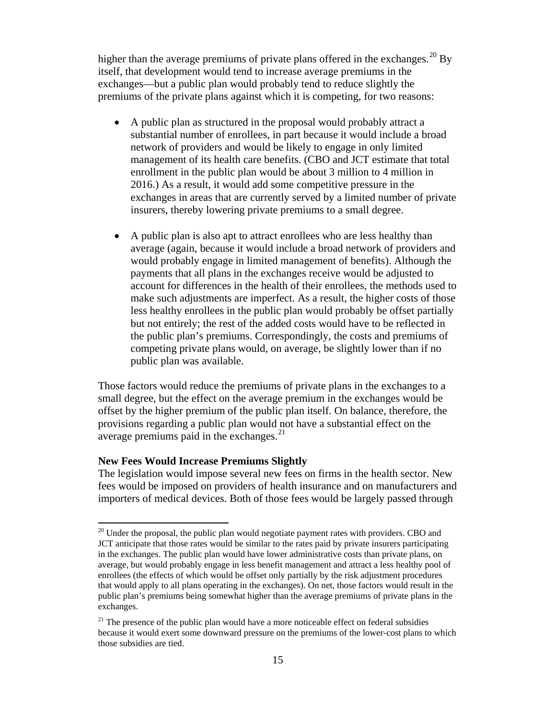higher than the average premiums of private plans offered in the exchanges.<sup>[20](#page-15-0)</sup> By itself, that development would tend to increase average premiums in the exchanges—but a public plan would probably tend to reduce slightly the premiums of the private plans against which it is competing, for two reasons:

- A public plan as structured in the proposal would probably attract a substantial number of enrollees, in part because it would include a broad network of providers and would be likely to engage in only limited management of its health care benefits. (CBO and JCT estimate that total enrollment in the public plan would be about 3 million to 4 million in 2016.) As a result, it would add some competitive pressure in the exchanges in areas that are currently served by a limited number of private insurers, thereby lowering private premiums to a small degree.
- A public plan is also apt to attract enrollees who are less healthy than average (again, because it would include a broad network of providers and would probably engage in limited management of benefits). Although the payments that all plans in the exchanges receive would be adjusted to account for differences in the health of their enrollees, the methods used to make such adjustments are imperfect. As a result, the higher costs of those less healthy enrollees in the public plan would probably be offset partially but not entirely; the rest of the added costs would have to be reflected in the public plan's premiums. Correspondingly, the costs and premiums of competing private plans would, on average, be slightly lower than if no public plan was available.

Those factors would reduce the premiums of private plans in the exchanges to a small degree, but the effect on the average premium in the exchanges would be offset by the higher premium of the public plan itself. On balance, therefore, the provisions regarding a public plan would not have a substantial effect on the average premiums paid in the exchanges. $^{21}$  $^{21}$  $^{21}$ 

#### **New Fees Would Increase Premiums Slightly**

The legislation would impose several new fees on firms in the health sector. New fees would be imposed on providers of health insurance and on manufacturers and importers of medical devices. Both of those fees would be largely passed through

<span id="page-15-0"></span> $^{20}$  Under the proposal, the public plan would negotiate payment rates with providers. CBO and JCT anticipate that those rates would be similar to the rates paid by private insurers participating in the exchanges. The public plan would have lower administrative costs than private plans, on average, but would probably engage in less benefit management and attract a less healthy pool of enrollees (the effects of which would be offset only partially by the risk adjustment procedures that would apply to all plans operating in the exchanges). On net, those factors would result in the public plan's premiums being somewhat higher than the average premiums of private plans in the exchanges.

<span id="page-15-1"></span> $21$  The presence of the public plan would have a more noticeable effect on federal subsidies because it would exert some downward pressure on the premiums of the lower-cost plans to which those subsidies are tied.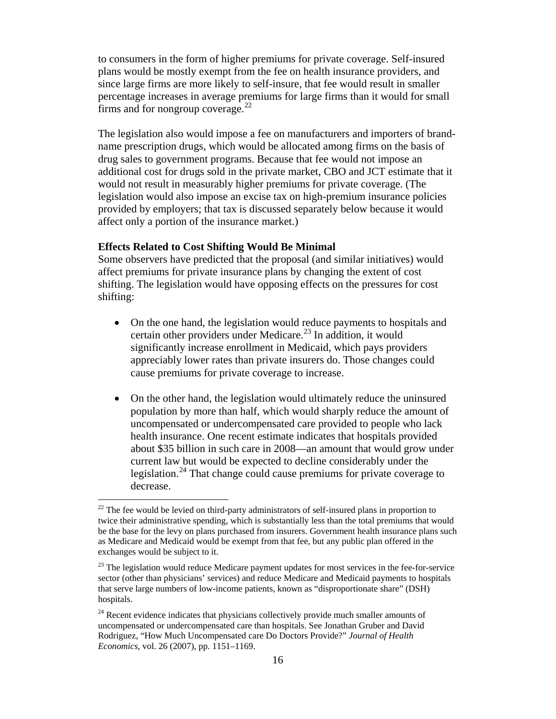to consumers in the form of higher premiums for private coverage. Self-insured plans would be mostly exempt from the fee on health insurance providers, and since large firms are more likely to self-insure, that fee would result in smaller percentage increases in average premiums for large firms than it would for small firms and for nongroup coverage. $^{22}$  $^{22}$  $^{22}$ 

The legislation also would impose a fee on manufacturers and importers of brandname prescription drugs, which would be allocated among firms on the basis of drug sales to government programs. Because that fee would not impose an additional cost for drugs sold in the private market, CBO and JCT estimate that it would not result in measurably higher premiums for private coverage. (The legislation would also impose an excise tax on high-premium insurance policies provided by employers; that tax is discussed separately below because it would affect only a portion of the insurance market.)

#### **Effects Related to Cost Shifting Would Be Minimal**

Some observers have predicted that the proposal (and similar initiatives) would affect premiums for private insurance plans by changing the extent of cost shifting. The legislation would have opposing effects on the pressures for cost shifting:

- On the one hand, the legislation would reduce payments to hospitals and certain other providers under Medicare. [23](#page-16-1) In addition, it would significantly increase enrollment in Medicaid, which pays providers appreciably lower rates than private insurers do. Those changes could cause premiums for private coverage to increase.
- On the other hand, the legislation would ultimately reduce the uninsured population by more than half, which would sharply reduce the amount of uncompensated or undercompensated care provided to people who lack health insurance. One recent estimate indicates that hospitals provided about \$35 billion in such care in 2008—an amount that would grow under current law but would be expected to decline considerably under the legislation.<sup>[24](#page-16-2)</sup> That change could cause premiums for private coverage to decrease.

<span id="page-16-0"></span> $22$  The fee would be levied on third-party administrators of self-insured plans in proportion to twice their administrative spending, which is substantially less than the total premiums that would be the base for the levy on plans purchased from insurers. Government health insurance plans such as Medicare and Medicaid would be exempt from that fee, but any public plan offered in the exchanges would be subject to it.

<span id="page-16-1"></span> $^{23}$  The legislation would reduce Medicare payment updates for most services in the fee-for-service sector (other than physicians' services) and reduce Medicare and Medicaid payments to hospitals that serve large numbers of low-income patients, known as "disproportionate share" (DSH) hospitals.

<span id="page-16-2"></span> $24$  Recent evidence indicates that physicians collectively provide much smaller amounts of uncompensated or undercompensated care than hospitals. See Jonathan Gruber and David Rodriguez, "How Much Uncompensated care Do Doctors Provide?" *Journal of Health Economics*, vol. 26 (2007), pp. 1151–1169.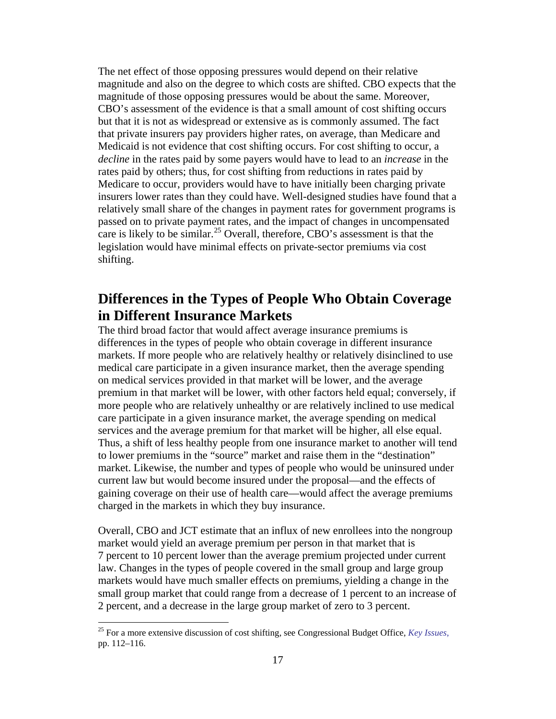The net effect of those opposing pressures would depend on their relative magnitude and also on the degree to which costs are shifted. CBO expects that the magnitude of those opposing pressures would be about the same. Moreover, CBO's assessment of the evidence is that a small amount of cost shifting occurs but that it is not as widespread or extensive as is commonly assumed. The fact that private insurers pay providers higher rates, on average, than Medicare and Medicaid is not evidence that cost shifting occurs. For cost shifting to occur, a *decline* in the rates paid by some payers would have to lead to an *increase* in the rates paid by others; thus, for cost shifting from reductions in rates paid by Medicare to occur, providers would have to have initially been charging private insurers lower rates than they could have. Well-designed studies have found that a relatively small share of the changes in payment rates for government programs is passed on to private payment rates, and the impact of changes in uncompensated care is likely to be similar.<sup>[25](#page-17-0)</sup> Overall, therefore, CBO's assessment is that the legislation would have minimal effects on private-sector premiums via cost shifting.

# **Differences in the Types of People Who Obtain Coverage in Different Insurance Markets**

The third broad factor that would affect average insurance premiums is differences in the types of people who obtain coverage in different insurance markets. If more people who are relatively healthy or relatively disinclined to use medical care participate in a given insurance market, then the average spending on medical services provided in that market will be lower, and the average premium in that market will be lower, with other factors held equal; conversely, if more people who are relatively unhealthy or are relatively inclined to use medical care participate in a given insurance market, the average spending on medical services and the average premium for that market will be higher, all else equal. Thus, a shift of less healthy people from one insurance market to another will tend to lower premiums in the "source" market and raise them in the "destination" market. Likewise, the number and types of people who would be uninsured under current law but would become insured under the proposal—and the effects of gaining coverage on their use of health care—would affect the average premiums charged in the markets in which they buy insurance.

Overall, CBO and JCT estimate that an influx of new enrollees into the nongroup market would yield an average premium per person in that market that is 7 percent to 10 percent lower than the average premium projected under current law. Changes in the types of people covered in the small group and large group markets would have much smaller effects on premiums, yielding a change in the small group market that could range from a decrease of 1 percent to an increase of 2 percent, and a decrease in the large group market of zero to 3 percent.

<span id="page-17-0"></span> <sup>25</sup> For a more extensive discussion of cost shifting, see Congressional Budget Office, *[Key Issues](http://www.cbo.gov/doc.cfm?index=9924)*, pp. 112–116.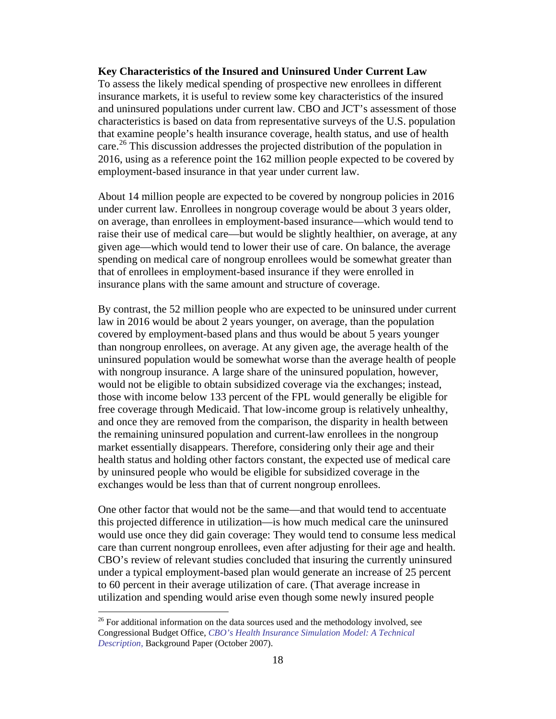### **Key Characteristics of the Insured and Uninsured Under Current Law**

To assess the likely medical spending of prospective new enrollees in different insurance markets, it is useful to review some key characteristics of the insured and uninsured populations under current law. CBO and JCT's assessment of those characteristics is based on data from representative surveys of the U.S. population that examine people's health insurance coverage, health status, and use of health care.<sup>[26](#page-18-0)</sup> This discussion addresses the projected distribution of the population in 2016, using as a reference point the 162 million people expected to be covered by employment-based insurance in that year under current law.

About 14 million people are expected to be covered by nongroup policies in 2016 under current law. Enrollees in nongroup coverage would be about 3 years older, on average, than enrollees in employment-based insurance—which would tend to raise their use of medical care—but would be slightly healthier, on average, at any given age—which would tend to lower their use of care. On balance, the average spending on medical care of nongroup enrollees would be somewhat greater than that of enrollees in employment-based insurance if they were enrolled in insurance plans with the same amount and structure of coverage.

By contrast, the 52 million people who are expected to be uninsured under current law in 2016 would be about 2 years younger, on average, than the population covered by employment-based plans and thus would be about 5 years younger than nongroup enrollees, on average. At any given age, the average health of the uninsured population would be somewhat worse than the average health of people with nongroup insurance. A large share of the uninsured population, however, would not be eligible to obtain subsidized coverage via the exchanges; instead, those with income below 133 percent of the FPL would generally be eligible for free coverage through Medicaid. That low-income group is relatively unhealthy, and once they are removed from the comparison, the disparity in health between the remaining uninsured population and current-law enrollees in the nongroup market essentially disappears. Therefore, considering only their age and their health status and holding other factors constant, the expected use of medical care by uninsured people who would be eligible for subsidized coverage in the exchanges would be less than that of current nongroup enrollees.

One other factor that would not be the same—and that would tend to accentuate this projected difference in utilization—is how much medical care the uninsured would use once they did gain coverage: They would tend to consume less medical care than current nongroup enrollees, even after adjusting for their age and health. CBO's review of relevant studies concluded that insuring the currently uninsured under a typical employment-based plan would generate an increase of 25 percent to 60 percent in their average utilization of care. (That average increase in utilization and spending would arise even though some newly insured people

<span id="page-18-0"></span> $26$  For additional information on the data sources used and the methodology involved, see Congressional Budget Office, *[CBO's Health Insurance Simulation Model: A Technical](http://www.cbo.gov/ftpdocs/87xx/doc8712/10-31-HealthInsurModel.pdf)  [Description](http://www.cbo.gov/ftpdocs/87xx/doc8712/10-31-HealthInsurModel.pdf)*, Background Paper (October 2007).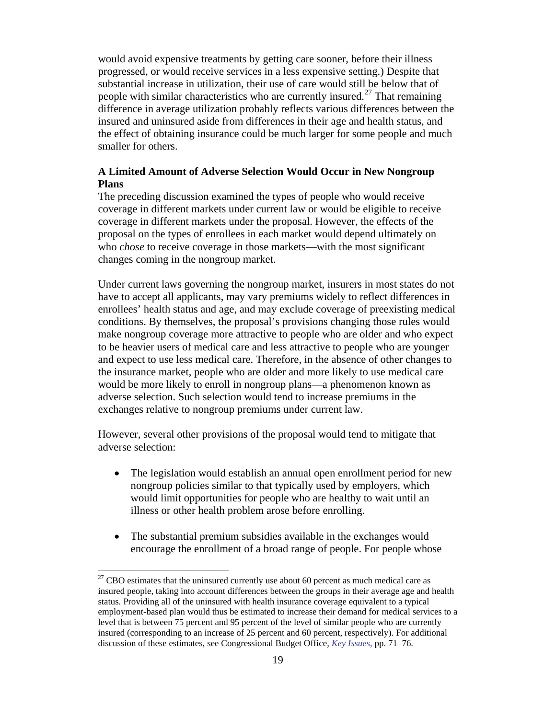would avoid expensive treatments by getting care sooner, before their illness progressed, or would receive services in a less expensive setting.) Despite that substantial increase in utilization, their use of care would still be below that of people with similar characteristics who are currently insured.<sup>[27](#page-19-0)</sup> That remaining difference in average utilization probably reflects various differences between the insured and uninsured aside from differences in their age and health status, and the effect of obtaining insurance could be much larger for some people and much smaller for others.

## **A Limited Amount of Adverse Selection Would Occur in New Nongroup Plans**

The preceding discussion examined the types of people who would receive coverage in different markets under current law or would be eligible to receive coverage in different markets under the proposal. However, the effects of the proposal on the types of enrollees in each market would depend ultimately on who *chose* to receive coverage in those markets—with the most significant changes coming in the nongroup market.

Under current laws governing the nongroup market, insurers in most states do not have to accept all applicants, may vary premiums widely to reflect differences in enrollees' health status and age, and may exclude coverage of preexisting medical conditions. By themselves, the proposal's provisions changing those rules would make nongroup coverage more attractive to people who are older and who expect to be heavier users of medical care and less attractive to people who are younger and expect to use less medical care. Therefore, in the absence of other changes to the insurance market, people who are older and more likely to use medical care would be more likely to enroll in nongroup plans—a phenomenon known as adverse selection. Such selection would tend to increase premiums in the exchanges relative to nongroup premiums under current law.

However, several other provisions of the proposal would tend to mitigate that adverse selection:

- The legislation would establish an annual open enrollment period for new nongroup policies similar to that typically used by employers, which would limit opportunities for people who are healthy to wait until an illness or other health problem arose before enrolling.
- The substantial premium subsidies available in the exchanges would encourage the enrollment of a broad range of people. For people whose

<span id="page-19-0"></span> $27$  CBO estimates that the uninsured currently use about 60 percent as much medical care as insured people, taking into account differences between the groups in their average age and health status. Providing all of the uninsured with health insurance coverage equivalent to a typical employment-based plan would thus be estimated to increase their demand for medical services to a level that is between 75 percent and 95 percent of the level of similar people who are currently insured (corresponding to an increase of 25 percent and 60 percent, respectively). For additional discussion of these estimates, see Congressional Budget Office, *[Key Issues](http://www.cbo.gov/doc.cfm?index=9924)*, pp. 71–76.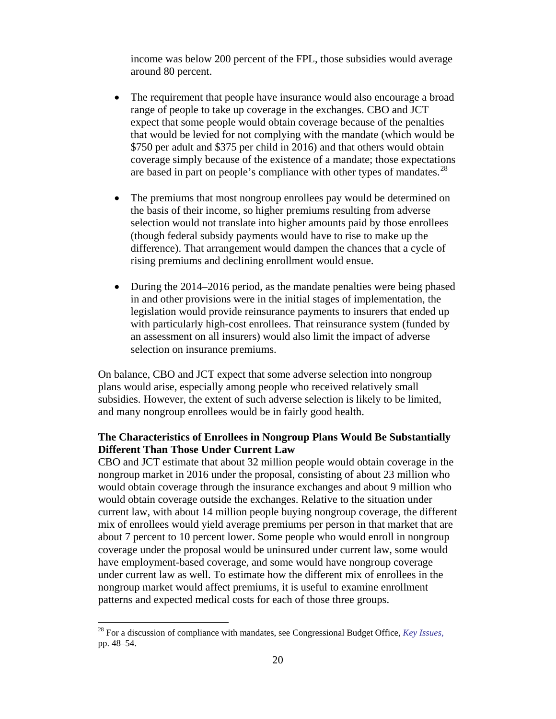income was below 200 percent of the FPL, those subsidies would average around 80 percent.

- The requirement that people have insurance would also encourage a broad range of people to take up coverage in the exchanges. CBO and JCT expect that some people would obtain coverage because of the penalties that would be levied for not complying with the mandate (which would be \$750 per adult and \$375 per child in 2016) and that others would obtain coverage simply because of the existence of a mandate; those expectations are based in part on people's compliance with other types of mandates.<sup>[28](#page-20-0)</sup>
- The premiums that most nongroup enrollees pay would be determined on the basis of their income, so higher premiums resulting from adverse selection would not translate into higher amounts paid by those enrollees (though federal subsidy payments would have to rise to make up the difference). That arrangement would dampen the chances that a cycle of rising premiums and declining enrollment would ensue.
- During the 2014–2016 period, as the mandate penalties were being phased in and other provisions were in the initial stages of implementation, the legislation would provide reinsurance payments to insurers that ended up with particularly high-cost enrollees. That reinsurance system (funded by an assessment on all insurers) would also limit the impact of adverse selection on insurance premiums.

On balance, CBO and JCT expect that some adverse selection into nongroup plans would arise, especially among people who received relatively small subsidies. However, the extent of such adverse selection is likely to be limited, and many nongroup enrollees would be in fairly good health.

### **The Characteristics of Enrollees in Nongroup Plans Would Be Substantially Different Than Those Under Current Law**

CBO and JCT estimate that about 32 million people would obtain coverage in the nongroup market in 2016 under the proposal, consisting of about 23 million who would obtain coverage through the insurance exchanges and about 9 million who would obtain coverage outside the exchanges. Relative to the situation under current law, with about 14 million people buying nongroup coverage, the different mix of enrollees would yield average premiums per person in that market that are about 7 percent to 10 percent lower. Some people who would enroll in nongroup coverage under the proposal would be uninsured under current law, some would have employment-based coverage, and some would have nongroup coverage under current law as well. To estimate how the different mix of enrollees in the nongroup market would affect premiums, it is useful to examine enrollment patterns and expected medical costs for each of those three groups.

<span id="page-20-0"></span> <sup>28</sup> For a discussion of compliance with mandates, see Congressional Budget Office, *[Key Issues](http://www.cbo.gov/doc.cfm?index=9924)*, pp. 48–54.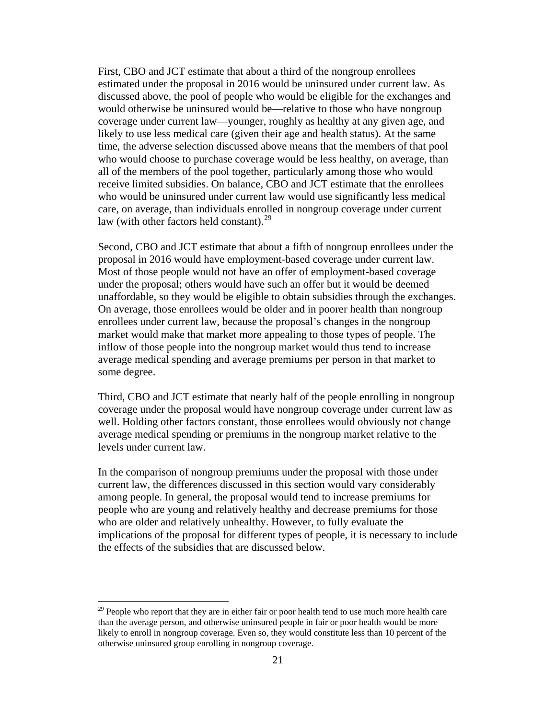First, CBO and JCT estimate that about a third of the nongroup enrollees estimated under the proposal in 2016 would be uninsured under current law. As discussed above, the pool of people who would be eligible for the exchanges and would otherwise be uninsured would be—relative to those who have nongroup coverage under current law—younger, roughly as healthy at any given age, and likely to use less medical care (given their age and health status). At the same time, the adverse selection discussed above means that the members of that pool who would choose to purchase coverage would be less healthy, on average, than all of the members of the pool together, particularly among those who would receive limited subsidies. On balance, CBO and JCT estimate that the enrollees who would be uninsured under current law would use significantly less medical care, on average, than individuals enrolled in nongroup coverage under current law (with other factors held constant). $^{29}$  $^{29}$  $^{29}$ 

Second, CBO and JCT estimate that about a fifth of nongroup enrollees under the proposal in 2016 would have employment-based coverage under current law. Most of those people would not have an offer of employment-based coverage under the proposal; others would have such an offer but it would be deemed unaffordable, so they would be eligible to obtain subsidies through the exchanges. On average, those enrollees would be older and in poorer health than nongroup enrollees under current law, because the proposal's changes in the nongroup market would make that market more appealing to those types of people. The inflow of those people into the nongroup market would thus tend to increase average medical spending and average premiums per person in that market to some degree.

Third, CBO and JCT estimate that nearly half of the people enrolling in nongroup coverage under the proposal would have nongroup coverage under current law as well. Holding other factors constant, those enrollees would obviously not change average medical spending or premiums in the nongroup market relative to the levels under current law.

In the comparison of nongroup premiums under the proposal with those under current law, the differences discussed in this section would vary considerably among people. In general, the proposal would tend to increase premiums for people who are young and relatively healthy and decrease premiums for those who are older and relatively unhealthy. However, to fully evaluate the implications of the proposal for different types of people, it is necessary to include the effects of the subsidies that are discussed below.

<span id="page-21-0"></span> $29$  People who report that they are in either fair or poor health tend to use much more health care than the average person, and otherwise uninsured people in fair or poor health would be more likely to enroll in nongroup coverage. Even so, they would constitute less than 10 percent of the otherwise uninsured group enrolling in nongroup coverage.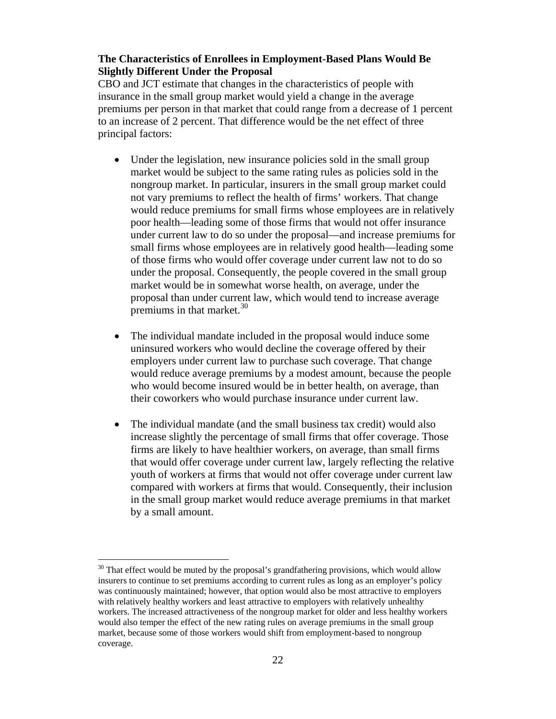### **The Characteristics of Enrollees in Employment-Based Plans Would Be Slightly Different Under the Proposal**

CBO and JCT estimate that changes in the characteristics of people with insurance in the small group market would yield a change in the average premiums per person in that market that could range from a decrease of 1 percent to an increase of 2 percent. That difference would be the net effect of three principal factors:

- Under the legislation, new insurance policies sold in the small group market would be subject to the same rating rules as policies sold in the nongroup market. In particular, insurers in the small group market could not vary premiums to reflect the health of firms' workers. That change would reduce premiums for small firms whose employees are in relatively poor health—leading some of those firms that would not offer insurance under current law to do so under the proposal—and increase premiums for small firms whose employees are in relatively good health—leading some of those firms who would offer coverage under current law not to do so under the proposal. Consequently, the people covered in the small group market would be in somewhat worse health, on average, under the proposal than under current law, which would tend to increase average premiums in that market.<sup>[30](#page-22-0)</sup>
- The individual mandate included in the proposal would induce some uninsured workers who would decline the coverage offered by their employers under current law to purchase such coverage. That change would reduce average premiums by a modest amount, because the people who would become insured would be in better health, on average, than their coworkers who would purchase insurance under current law.
- The individual mandate (and the small business tax credit) would also increase slightly the percentage of small firms that offer coverage. Those firms are likely to have healthier workers, on average, than small firms that would offer coverage under current law, largely reflecting the relative youth of workers at firms that would not offer coverage under current law compared with workers at firms that would. Consequently, their inclusion in the small group market would reduce average premiums in that market by a small amount.

<span id="page-22-0"></span> $30$  That effect would be muted by the proposal's grandfathering provisions, which would allow insurers to continue to set premiums according to current rules as long as an employer's policy was continuously maintained; however, that option would also be most attractive to employers with relatively healthy workers and least attractive to employers with relatively unhealthy workers. The increased attractiveness of the nongroup market for older and less healthy workers would also temper the effect of the new rating rules on average premiums in the small group market, because some of those workers would shift from employment-based to nongroup coverage.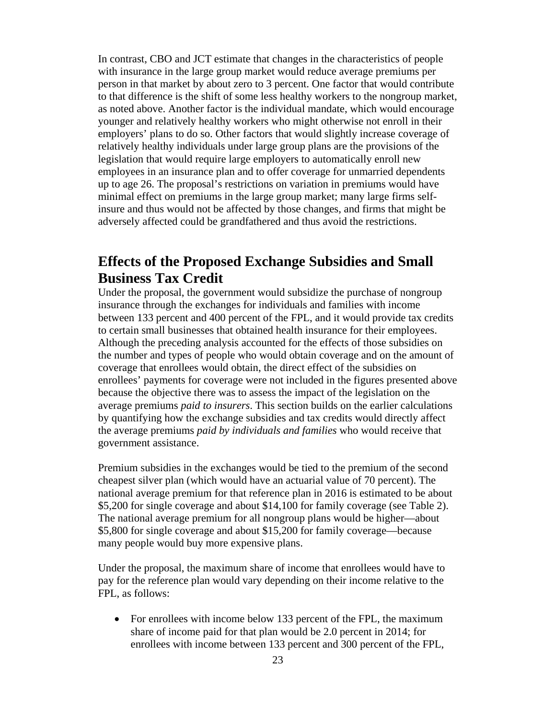In contrast, CBO and JCT estimate that changes in the characteristics of people with insurance in the large group market would reduce average premiums per person in that market by about zero to 3 percent. One factor that would contribute to that difference is the shift of some less healthy workers to the nongroup market, as noted above. Another factor is the individual mandate, which would encourage younger and relatively healthy workers who might otherwise not enroll in their employers' plans to do so. Other factors that would slightly increase coverage of relatively healthy individuals under large group plans are the provisions of the legislation that would require large employers to automatically enroll new employees in an insurance plan and to offer coverage for unmarried dependents up to age 26. The proposal's restrictions on variation in premiums would have minimal effect on premiums in the large group market; many large firms selfinsure and thus would not be affected by those changes, and firms that might be adversely affected could be grandfathered and thus avoid the restrictions.

# **Effects of the Proposed Exchange Subsidies and Small Business Tax Credit**

Under the proposal, the government would subsidize the purchase of nongroup insurance through the exchanges for individuals and families with income between 133 percent and 400 percent of the FPL, and it would provide tax credits to certain small businesses that obtained health insurance for their employees. Although the preceding analysis accounted for the effects of those subsidies on the number and types of people who would obtain coverage and on the amount of coverage that enrollees would obtain, the direct effect of the subsidies on enrollees' payments for coverage were not included in the figures presented above because the objective there was to assess the impact of the legislation on the average premiums *paid to insurers*. This section builds on the earlier calculations by quantifying how the exchange subsidies and tax credits would directly affect the average premiums *paid by individuals and families* who would receive that government assistance.

Premium subsidies in the exchanges would be tied to the premium of the second cheapest silver plan (which would have an actuarial value of 70 percent). The national average premium for that reference plan in 2016 is estimated to be about \$5,200 for single coverage and about \$14,100 for family coverage (see Table 2). The national average premium for all nongroup plans would be higher—about \$5,800 for single coverage and about \$15,200 for family coverage—because many people would buy more expensive plans.

Under the proposal, the maximum share of income that enrollees would have to pay for the reference plan would vary depending on their income relative to the FPL, as follows:

• For enrollees with income below 133 percent of the FPL, the maximum share of income paid for that plan would be 2.0 percent in 2014; for enrollees with income between 133 percent and 300 percent of the FPL,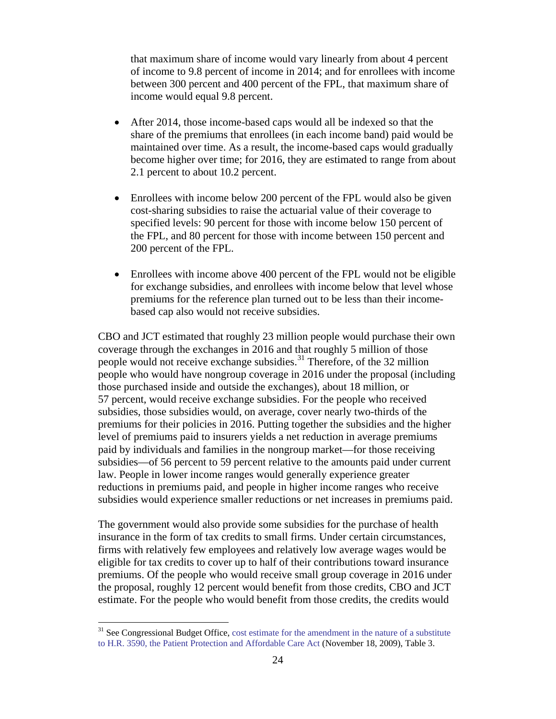that maximum share of income would vary linearly from about 4 percent of income to 9.8 percent of income in 2014; and for enrollees with income between 300 percent and 400 percent of the FPL, that maximum share of income would equal 9.8 percent.

- After 2014, those income-based caps would all be indexed so that the share of the premiums that enrollees (in each income band) paid would be maintained over time. As a result, the income-based caps would gradually become higher over time; for 2016, they are estimated to range from about 2.1 percent to about 10.2 percent.
- Enrollees with income below 200 percent of the FPL would also be given cost-sharing subsidies to raise the actuarial value of their coverage to specified levels: 90 percent for those with income below 150 percent of the FPL, and 80 percent for those with income between 150 percent and 200 percent of the FPL.
- Enrollees with income above 400 percent of the FPL would not be eligible for exchange subsidies, and enrollees with income below that level whose premiums for the reference plan turned out to be less than their incomebased cap also would not receive subsidies.

CBO and JCT estimated that roughly 23 million people would purchase their own coverage through the exchanges in 2016 and that roughly 5 million of those people would not receive exchange subsidies.<sup>[31](#page-24-0)</sup> Therefore, of the 32 million people who would have nongroup coverage in 2016 under the proposal (including those purchased inside and outside the exchanges), about 18 million, or 57 percent, would receive exchange subsidies. For the people who received subsidies, those subsidies would, on average, cover nearly two-thirds of the premiums for their policies in 2016. Putting together the subsidies and the higher level of premiums paid to insurers yields a net reduction in average premiums paid by individuals and families in the nongroup market—for those receiving subsidies—of 56 percent to 59 percent relative to the amounts paid under current law. People in lower income ranges would generally experience greater reductions in premiums paid, and people in higher income ranges who receive subsidies would experience smaller reductions or net increases in premiums paid.

The government would also provide some subsidies for the purchase of health insurance in the form of tax credits to small firms. Under certain circumstances, firms with relatively few employees and relatively low average wages would be eligible for tax credits to cover up to half of their contributions toward insurance premiums. Of the people who would receive small group coverage in 2016 under the proposal, roughly 12 percent would benefit from those credits, CBO and JCT estimate. For the people who would benefit from those credits, the credits would

<span id="page-24-0"></span><sup>&</sup>lt;sup>31</sup> See Congressional Budget Office, cost estimate for the amendment in the nature of a substitute [to H.R. 3590, the Patient Protection and Affordable Care Act](http://www.cbo.gov/doc.cfm?index=10731) (November 18, 2009), Table 3.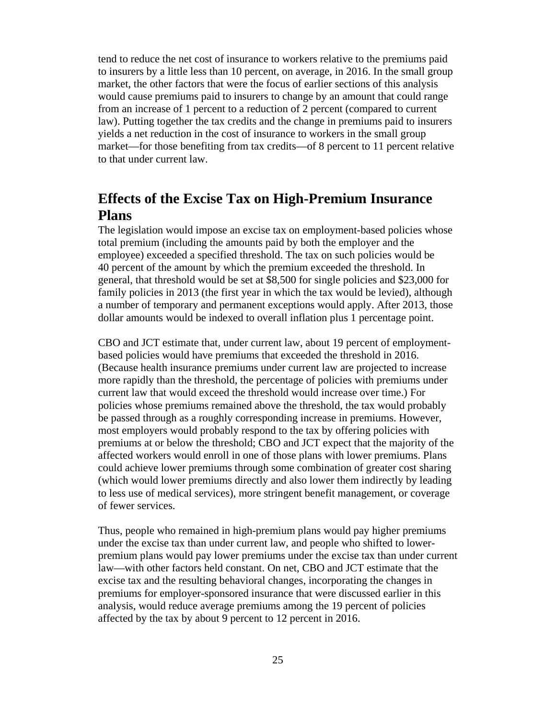tend to reduce the net cost of insurance to workers relative to the premiums paid to insurers by a little less than 10 percent, on average, in 2016. In the small group market, the other factors that were the focus of earlier sections of this analysis would cause premiums paid to insurers to change by an amount that could range from an increase of 1 percent to a reduction of 2 percent (compared to current law). Putting together the tax credits and the change in premiums paid to insurers yields a net reduction in the cost of insurance to workers in the small group market—for those benefiting from tax credits—of 8 percent to 11 percent relative to that under current law.

# **Effects of the Excise Tax on High-Premium Insurance Plans**

The legislation would impose an excise tax on employment-based policies whose total premium (including the amounts paid by both the employer and the employee) exceeded a specified threshold. The tax on such policies would be 40 percent of the amount by which the premium exceeded the threshold. In general, that threshold would be set at \$8,500 for single policies and \$23,000 for family policies in 2013 (the first year in which the tax would be levied), although a number of temporary and permanent exceptions would apply. After 2013, those dollar amounts would be indexed to overall inflation plus 1 percentage point.

CBO and JCT estimate that, under current law, about 19 percent of employmentbased policies would have premiums that exceeded the threshold in 2016. (Because health insurance premiums under current law are projected to increase more rapidly than the threshold, the percentage of policies with premiums under current law that would exceed the threshold would increase over time.) For policies whose premiums remained above the threshold, the tax would probably be passed through as a roughly corresponding increase in premiums. However, most employers would probably respond to the tax by offering policies with premiums at or below the threshold; CBO and JCT expect that the majority of the affected workers would enroll in one of those plans with lower premiums. Plans could achieve lower premiums through some combination of greater cost sharing (which would lower premiums directly and also lower them indirectly by leading to less use of medical services), more stringent benefit management, or coverage of fewer services.

Thus, people who remained in high-premium plans would pay higher premiums under the excise tax than under current law, and people who shifted to lowerpremium plans would pay lower premiums under the excise tax than under current law—with other factors held constant. On net, CBO and JCT estimate that the excise tax and the resulting behavioral changes, incorporating the changes in premiums for employer-sponsored insurance that were discussed earlier in this analysis, would reduce average premiums among the 19 percent of policies affected by the tax by about 9 percent to 12 percent in 2016.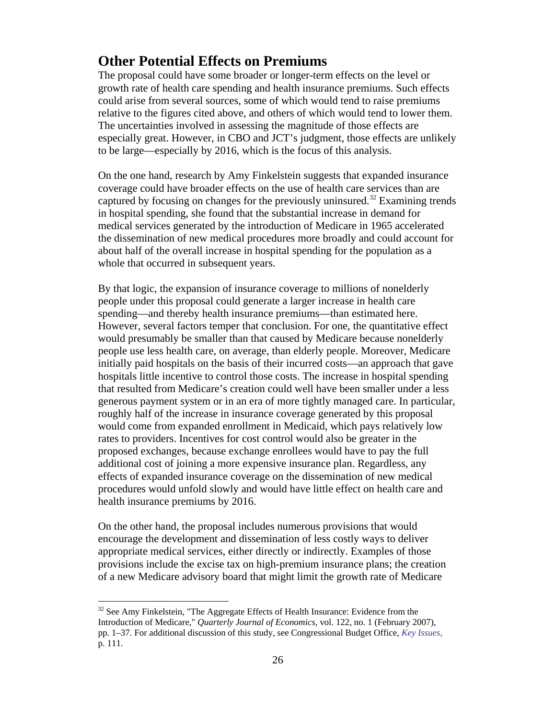# **Other Potential Effects on Premiums**

The proposal could have some broader or longer-term effects on the level or growth rate of health care spending and health insurance premiums. Such effects could arise from several sources, some of which would tend to raise premiums relative to the figures cited above, and others of which would tend to lower them. The uncertainties involved in assessing the magnitude of those effects are especially great. However, in CBO and JCT's judgment, those effects are unlikely to be large—especially by 2016, which is the focus of this analysis.

On the one hand, research by Amy Finkelstein suggests that expanded insurance coverage could have broader effects on the use of health care services than are captured by focusing on changes for the previously uninsured.<sup>[32](#page-26-0)</sup> Examining trends in hospital spending, she found that the substantial increase in demand for medical services generated by the introduction of Medicare in 1965 accelerated the dissemination of new medical procedures more broadly and could account for about half of the overall increase in hospital spending for the population as a whole that occurred in subsequent years.

By that logic, the expansion of insurance coverage to millions of nonelderly people under this proposal could generate a larger increase in health care spending—and thereby health insurance premiums—than estimated here. However, several factors temper that conclusion. For one, the quantitative effect would presumably be smaller than that caused by Medicare because nonelderly people use less health care, on average, than elderly people. Moreover, Medicare initially paid hospitals on the basis of their incurred costs—an approach that gave hospitals little incentive to control those costs. The increase in hospital spending that resulted from Medicare's creation could well have been smaller under a less generous payment system or in an era of more tightly managed care. In particular, roughly half of the increase in insurance coverage generated by this proposal would come from expanded enrollment in Medicaid, which pays relatively low rates to providers. Incentives for cost control would also be greater in the proposed exchanges, because exchange enrollees would have to pay the full additional cost of joining a more expensive insurance plan. Regardless, any effects of expanded insurance coverage on the dissemination of new medical procedures would unfold slowly and would have little effect on health care and health insurance premiums by 2016.

On the other hand, the proposal includes numerous provisions that would encourage the development and dissemination of less costly ways to deliver appropriate medical services, either directly or indirectly. Examples of those provisions include the excise tax on high-premium insurance plans; the creation of a new Medicare advisory board that might limit the growth rate of Medicare

<span id="page-26-0"></span> $32$  See Amy Finkelstein, "The Aggregate Effects of Health Insurance: Evidence from the Introduction of Medicare," *Quarterly Journal of Economics*, vol. 122, no. 1 (February 2007), pp. 1–37. For additional discussion of this study, see Congressional Budget Office, *[Key Issues](http://www.cbo.gov/doc.cfm?index=9924)*, p. 111.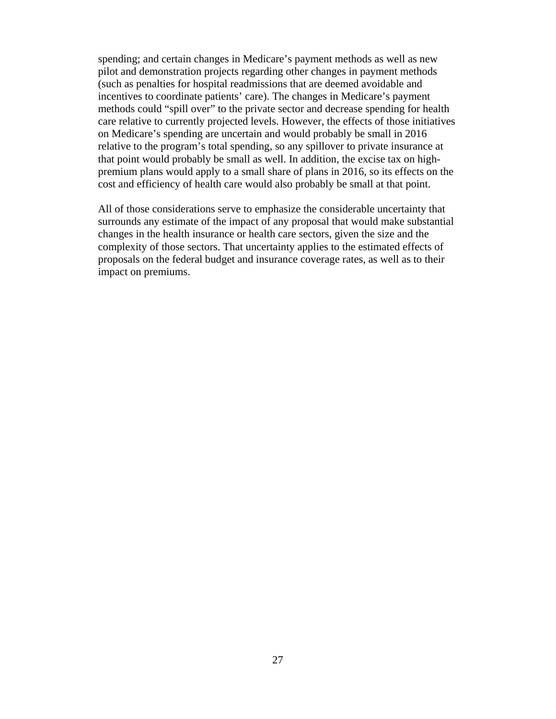spending; and certain changes in Medicare's payment methods as well as new pilot and demonstration projects regarding other changes in payment methods (such as penalties for hospital readmissions that are deemed avoidable and incentives to coordinate patients' care). The changes in Medicare's payment methods could "spill over" to the private sector and decrease spending for health care relative to currently projected levels. However, the effects of those initiatives on Medicare's spending are uncertain and would probably be small in 2016 relative to the program's total spending, so any spillover to private insurance at that point would probably be small as well. In addition, the excise tax on highpremium plans would apply to a small share of plans in 2016, so its effects on the cost and efficiency of health care would also probably be small at that point.

All of those considerations serve to emphasize the considerable uncertainty that surrounds any estimate of the impact of any proposal that would make substantial changes in the health insurance or health care sectors, given the size and the complexity of those sectors. That uncertainty applies to the estimated effects of proposals on the federal budget and insurance coverage rates, as well as to their impact on premiums.